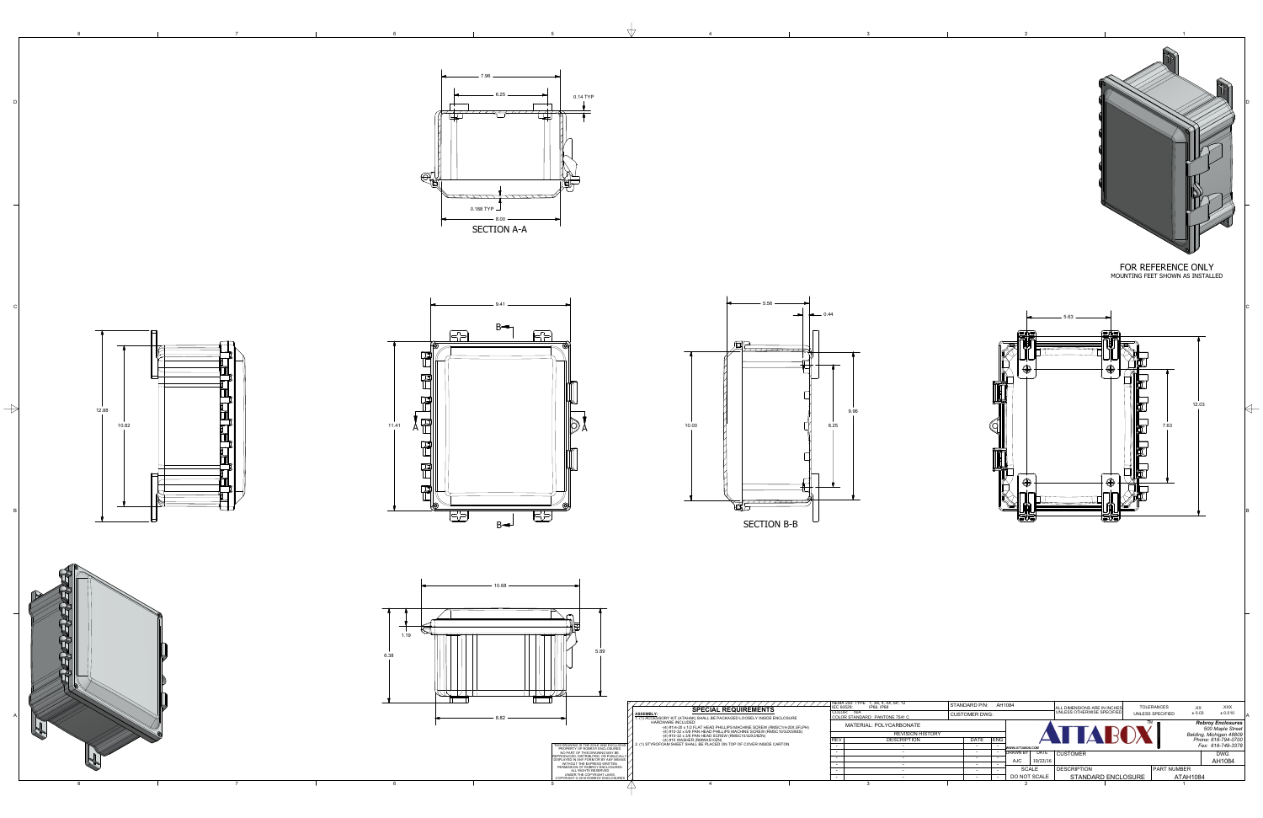